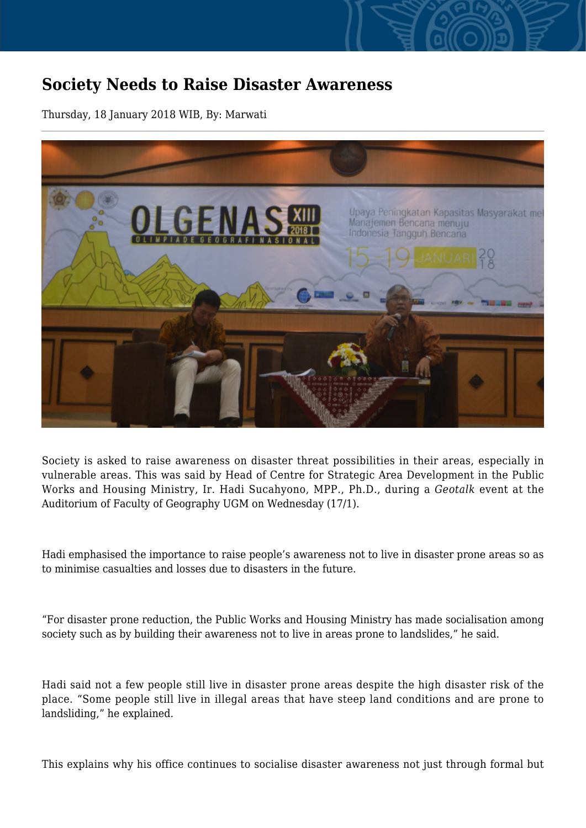## **Society Needs to Raise Disaster Awareness**

Thursday, 18 January 2018 WIB, By: Marwati



Society is asked to raise awareness on disaster threat possibilities in their areas, especially in vulnerable areas. This was said by Head of Centre for Strategic Area Development in the Public Works and Housing Ministry, Ir. Hadi Sucahyono, MPP., Ph.D., during a *Geotalk* event at the Auditorium of Faculty of Geography UGM on Wednesday (17/1).

Hadi emphasised the importance to raise people's awareness not to live in disaster prone areas so as to minimise casualties and losses due to disasters in the future.

"For disaster prone reduction, the Public Works and Housing Ministry has made socialisation among society such as by building their awareness not to live in areas prone to landslides," he said.

Hadi said not a few people still live in disaster prone areas despite the high disaster risk of the place. "Some people still live in illegal areas that have steep land conditions and are prone to landsliding," he explained.

This explains why his office continues to socialise disaster awareness not just through formal but